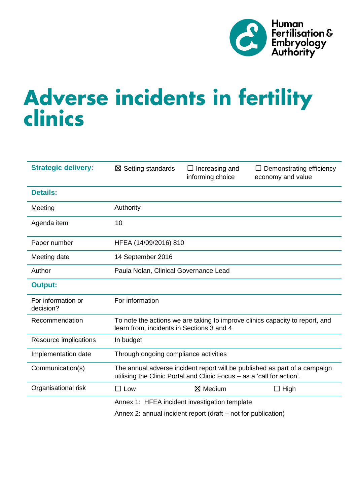

# Adverse incidents in fertility<br>clinics

| <b>Strategic delivery:</b>      | $\boxtimes$ Setting standards                                                                                                                        | $\Box$ Increasing and<br>informing choice | Demonstrating efficiency<br>economy and value |  |  |
|---------------------------------|------------------------------------------------------------------------------------------------------------------------------------------------------|-------------------------------------------|-----------------------------------------------|--|--|
| <b>Details:</b>                 |                                                                                                                                                      |                                           |                                               |  |  |
| Meeting                         | Authority                                                                                                                                            |                                           |                                               |  |  |
| Agenda item                     | 10                                                                                                                                                   |                                           |                                               |  |  |
| Paper number                    | HFEA (14/09/2016) 810                                                                                                                                |                                           |                                               |  |  |
| Meeting date                    | 14 September 2016                                                                                                                                    |                                           |                                               |  |  |
| Author                          | Paula Nolan, Clinical Governance Lead                                                                                                                |                                           |                                               |  |  |
| <b>Output:</b>                  |                                                                                                                                                      |                                           |                                               |  |  |
| For information or<br>decision? | For information                                                                                                                                      |                                           |                                               |  |  |
| Recommendation                  | To note the actions we are taking to improve clinics capacity to report, and<br>learn from, incidents in Sections 3 and 4                            |                                           |                                               |  |  |
| Resource implications           | In budget                                                                                                                                            |                                           |                                               |  |  |
| Implementation date             | Through ongoing compliance activities                                                                                                                |                                           |                                               |  |  |
| Communication(s)                | The annual adverse incident report will be published as part of a campaign<br>utilising the Clinic Portal and Clinic Focus - as a 'call for action'. |                                           |                                               |  |  |
| Organisational risk             | $\square$ Low                                                                                                                                        | ⊠ Medium                                  | $\Box$ High                                   |  |  |
|                                 | Annex 1: HFEA incident investigation template                                                                                                        |                                           |                                               |  |  |

Annex 2: annual incident report (draft – not for publication)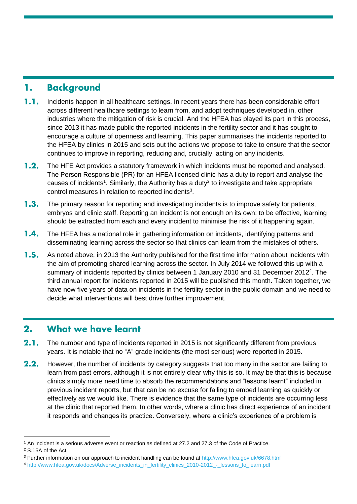#### **Background** 1.

- $1.1.$ Incidents happen in all healthcare settings. In recent years there has been considerable effort across different healthcare settings to learn from, and adopt techniques developed in, other industries where the mitigation of risk is crucial. And the HFEA has played its part in this process, since 2013 it has made public the reported incidents in the fertility sector and it has sought to encourage a culture of openness and learning. This paper summarises the incidents reported to the HFEA by clinics in 2015 and sets out the actions we propose to take to ensure that the sector continues to improve in reporting, reducing and, crucially, acting on any incidents.
- $1.2.$ The HFE Act provides a statutory framework in which incidents must be reported and analysed. The Person Responsible (PR) for an HFEA licensed clinic has a duty to report and analyse the causes of incidents<sup>1</sup>. Similarly, the Authority has a duty<sup>2</sup> to investigate and take appropriate control measures in relation to reported incidents<sup>3</sup>.
- $1.3.$ The primary reason for reporting and investigating incidents is to improve safety for patients, embryos and clinic staff. Reporting an incident is not enough on its own: to be effective, learning should be extracted from each and every incident to minimise the risk of it happening again.
- $1.4.$ The HFEA has a national role in gathering information on incidents, identifying patterns and disseminating learning across the sector so that clinics can learn from the mistakes of others.
- $1.5.$ As noted above, in 2013 the Authority published for the first time information about incidents with the aim of promoting shared learning across the sector. In July 2014 we followed this up with a summary of incidents reported by clinics between 1 January 2010 and 31 December 2012<sup>4</sup>. The third annual report for incidents reported in 2015 will be published this month. Taken together, we have now five years of data on incidents in the fertility sector in the public domain and we need to decide what interventions will best drive further improvement.

#### $2.$ **What we have learnt**

- $2.1.$ The number and type of incidents reported in 2015 is not significantly different from previous years. It is notable that no "A" grade incidents (the most serious) were reported in 2015.
- $2.2.$ However, the number of incidents by category suggests that too many in the sector are failing to learn from past errors, although it is not entirely clear why this is so. It may be that this is because clinics simply more need time to absorb the recommendations and "lessons learnt" included in previous incident reports, but that can be no excuse for failing to embed learning as quickly or effectively as we would like. There is evidence that the same type of incidents are occurring less at the clinic that reported them. In other words, where a clinic has direct experience of an incident it responds and changes its practice. Conversely, where a clinic's experience of a problem is

-

<sup>1</sup> An incident is a serious adverse event or reaction as defined at 27.2 and 27.3 of the Code of Practice.

<sup>2</sup> S.15A of the Act.

<sup>3</sup> Further information on our approach to incident handling can be found a[t http://www.hfea.gov.uk/6678.html](http://www.hfea.gov.uk/6678.html)

<sup>4</sup> [http://www.hfea.gov.uk/docs/Adverse\\_incidents\\_in\\_fertility\\_clinics\\_2010-2012\\_-\\_lessons\\_to\\_learn.pdf](http://www.hfea.gov.uk/docs/Adverse_incidents_in_fertility_clinics_2010-2012_-_lessons_to_learn.pdf)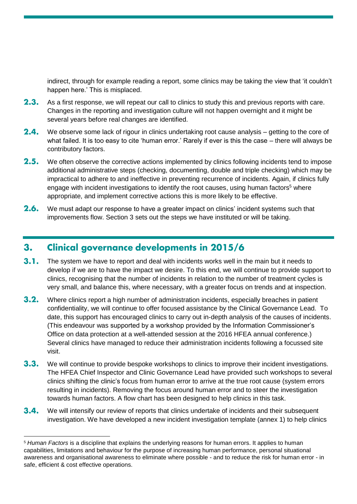indirect, through for example reading a report, some clinics may be taking the view that 'it couldn't happen here.' This is misplaced.

- $2.3.$ As a first response, we will repeat our call to clinics to study this and previous reports with care. Changes in the reporting and investigation culture will not happen overnight and it might be several years before real changes are identified.
- $2.4.$ We observe some lack of rigour in clinics undertaking root cause analysis – getting to the core of what failed. It is too easy to cite 'human error.' Rarely if ever is this the case – there will always be contributory factors.
- $2.5.$ We often observe the corrective actions implemented by clinics following incidents tend to impose additional administrative steps (checking, documenting, double and triple checking) which may be impractical to adhere to and ineffective in preventing recurrence of incidents. Again, if clinics fully engage with incident investigations to identify the root causes, using human factors<sup>5</sup> where appropriate, and implement corrective actions this is more likely to be effective.
- $2.6.$ We must adapt our response to have a greater impact on clinics' incident systems such that improvements flow. Section 3 sets out the steps we have instituted or will be taking.

#### **Clinical governance developments in 2015/6**  $3.$

-

- $3.1.$ The system we have to report and deal with incidents works well in the main but it needs to develop if we are to have the impact we desire. To this end, we will continue to provide support to clinics, recognising that the number of incidents in relation to the number of treatment cycles is very small, and balance this, where necessary, with a greater focus on trends and at inspection.
- $3.2.$ Where clinics report a high number of administration incidents, especially breaches in patient confidentiality, we will continue to offer focused assistance by the Clinical Governance Lead. To date, this support has encouraged clinics to carry out in-depth analysis of the causes of incidents. (This endeavour was supported by a workshop provided by the Information Commissioner's Office on data protection at a well-attended session at the 2016 HFEA annual conference.) Several clinics have managed to reduce their administration incidents following a focussed site visit.
- $3.3.$ We will continue to provide bespoke workshops to clinics to improve their incident investigations. The HFEA Chief Inspector and Clinic Governance Lead have provided such workshops to several clinics shifting the clinic's focus from human error to arrive at the true root cause (system errors resulting in incidents). Removing the focus around human error and to steer the investigation towards human factors. A flow chart has been designed to help clinics in this task.
- $3.4.$ We will intensify our review of reports that clinics undertake of incidents and their subsequent investigation. We have developed a new incident investigation template (annex 1) to help clinics

<sup>5</sup> *Human Factors* is a discipline that explains the underlying reasons for human errors. It applies to human capabilities, limitations and behaviour for the purpose of increasing human performance, personal situational awareness and organisational awareness to eliminate where possible - and to reduce the risk for human error - in safe, efficient & cost effective operations.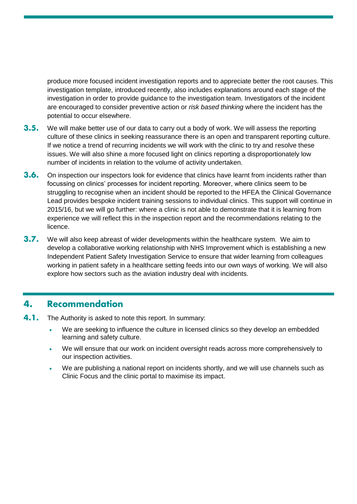produce more focused incident investigation reports and to appreciate better the root causes. This investigation template, introduced recently, also includes explanations around each stage of the investigation in order to provide guidance to the investigation team. Investigators of the incident are encouraged to consider preventive action or *risk based thinking* where the incident has the potential to occur elsewhere.

- $3.5.$ We will make better use of our data to carry out a body of work. We will assess the reporting culture of these clinics in seeking reassurance there is an open and transparent reporting culture. If we notice a trend of recurring incidents we will work with the clinic to try and resolve these issues. We will also shine a more focused light on clinics reporting a disproportionately low number of incidents in relation to the volume of activity undertaken.
- $3.6.$ On inspection our inspectors look for evidence that clinics have learnt from incidents rather than focussing on clinics' processes for incident reporting. Moreover, where clinics seem to be struggling to recognise when an incident should be reported to the HFEA the Clinical Governance Lead provides bespoke incident training sessions to individual clinics. This support will continue in 2015/16, but we will go further: where a clinic is not able to demonstrate that it is learning from experience we will reflect this in the inspection report and the recommendations relating to the licence.
- $3.7.$ We will also keep abreast of wider developments within the healthcare system. We aim to develop a collaborative working relationship with NHS Improvement which is establishing a new Independent Patient Safety Investigation Service to ensure that wider learning from colleagues working in patient safety in a healthcare setting feeds into our own ways of working. We will also explore how sectors such as the aviation industry deal with incidents.

#### 4. **Recommendation**

- $4.1.$ The Authority is asked to note this report. In summary:
	- We are seeking to influence the culture in licensed clinics so they develop an embedded learning and safety culture.
	- We will ensure that our work on incident oversight reads across more comprehensively to our inspection activities.
	- We are publishing a national report on incidents shortly, and we will use channels such as Clinic Focus and the clinic portal to maximise its impact.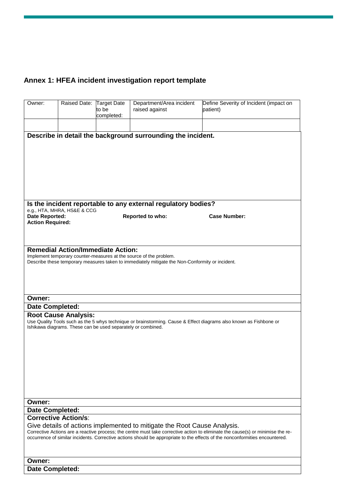# **Annex 1: HFEA incident investigation report template**

| Owner:                                                                                                                                                                                                                                                          | Raised Date: Target Date    | to be      | Department/Area incident<br>raised against | Define Severity of Incident (impact on<br>patient)                                                                 |  |
|-----------------------------------------------------------------------------------------------------------------------------------------------------------------------------------------------------------------------------------------------------------------|-----------------------------|------------|--------------------------------------------|--------------------------------------------------------------------------------------------------------------------|--|
|                                                                                                                                                                                                                                                                 |                             | completed: |                                            |                                                                                                                    |  |
|                                                                                                                                                                                                                                                                 |                             |            |                                            |                                                                                                                    |  |
| Describe in detail the background surrounding the incident.                                                                                                                                                                                                     |                             |            |                                            |                                                                                                                    |  |
|                                                                                                                                                                                                                                                                 |                             |            |                                            |                                                                                                                    |  |
|                                                                                                                                                                                                                                                                 |                             |            |                                            |                                                                                                                    |  |
|                                                                                                                                                                                                                                                                 |                             |            |                                            |                                                                                                                    |  |
|                                                                                                                                                                                                                                                                 |                             |            |                                            |                                                                                                                    |  |
|                                                                                                                                                                                                                                                                 |                             |            |                                            |                                                                                                                    |  |
|                                                                                                                                                                                                                                                                 |                             |            |                                            |                                                                                                                    |  |
| Is the incident reportable to any external regulatory bodies?                                                                                                                                                                                                   |                             |            |                                            |                                                                                                                    |  |
| Date Reported:                                                                                                                                                                                                                                                  | e.g., HTA, MHRA, HS&E & CCG |            | Reported to who:                           | <b>Case Number:</b>                                                                                                |  |
| <b>Action Required:</b>                                                                                                                                                                                                                                         |                             |            |                                            |                                                                                                                    |  |
|                                                                                                                                                                                                                                                                 |                             |            |                                            |                                                                                                                    |  |
|                                                                                                                                                                                                                                                                 |                             |            |                                            |                                                                                                                    |  |
| <b>Remedial Action/Immediate Action:</b><br>Implement temporary counter-measures at the source of the problem.                                                                                                                                                  |                             |            |                                            |                                                                                                                    |  |
| Describe these temporary measures taken to immediately mitigate the Non-Conformity or incident.                                                                                                                                                                 |                             |            |                                            |                                                                                                                    |  |
|                                                                                                                                                                                                                                                                 |                             |            |                                            |                                                                                                                    |  |
|                                                                                                                                                                                                                                                                 |                             |            |                                            |                                                                                                                    |  |
|                                                                                                                                                                                                                                                                 |                             |            |                                            |                                                                                                                    |  |
| Owner:                                                                                                                                                                                                                                                          |                             |            |                                            |                                                                                                                    |  |
| <b>Date Completed:</b>                                                                                                                                                                                                                                          | <b>Root Cause Analysis:</b> |            |                                            |                                                                                                                    |  |
|                                                                                                                                                                                                                                                                 |                             |            |                                            | Use Quality Tools such as the 5 whys technique or brainstorming. Cause & Effect diagrams also known as Fishbone or |  |
| Ishikawa diagrams. These can be used separately or combined.                                                                                                                                                                                                    |                             |            |                                            |                                                                                                                    |  |
|                                                                                                                                                                                                                                                                 |                             |            |                                            |                                                                                                                    |  |
|                                                                                                                                                                                                                                                                 |                             |            |                                            |                                                                                                                    |  |
|                                                                                                                                                                                                                                                                 |                             |            |                                            |                                                                                                                    |  |
|                                                                                                                                                                                                                                                                 |                             |            |                                            |                                                                                                                    |  |
|                                                                                                                                                                                                                                                                 |                             |            |                                            |                                                                                                                    |  |
|                                                                                                                                                                                                                                                                 |                             |            |                                            |                                                                                                                    |  |
|                                                                                                                                                                                                                                                                 |                             |            |                                            |                                                                                                                    |  |
| Owner:<br><b>Date Completed:</b>                                                                                                                                                                                                                                |                             |            |                                            |                                                                                                                    |  |
| <b>Corrective Action/s:</b>                                                                                                                                                                                                                                     |                             |            |                                            |                                                                                                                    |  |
| Give details of actions implemented to mitigate the Root Cause Analysis.                                                                                                                                                                                        |                             |            |                                            |                                                                                                                    |  |
| Corrective Actions are a reactive process; the centre must take corrective action to eliminate the cause(s) or minimise the re-<br>occurrence of similar incidents. Corrective actions should be appropriate to the effects of the nonconformities encountered. |                             |            |                                            |                                                                                                                    |  |
|                                                                                                                                                                                                                                                                 |                             |            |                                            |                                                                                                                    |  |
|                                                                                                                                                                                                                                                                 |                             |            |                                            |                                                                                                                    |  |
| Owner:                                                                                                                                                                                                                                                          |                             |            |                                            |                                                                                                                    |  |
| <b>Date Completed:</b>                                                                                                                                                                                                                                          |                             |            |                                            |                                                                                                                    |  |